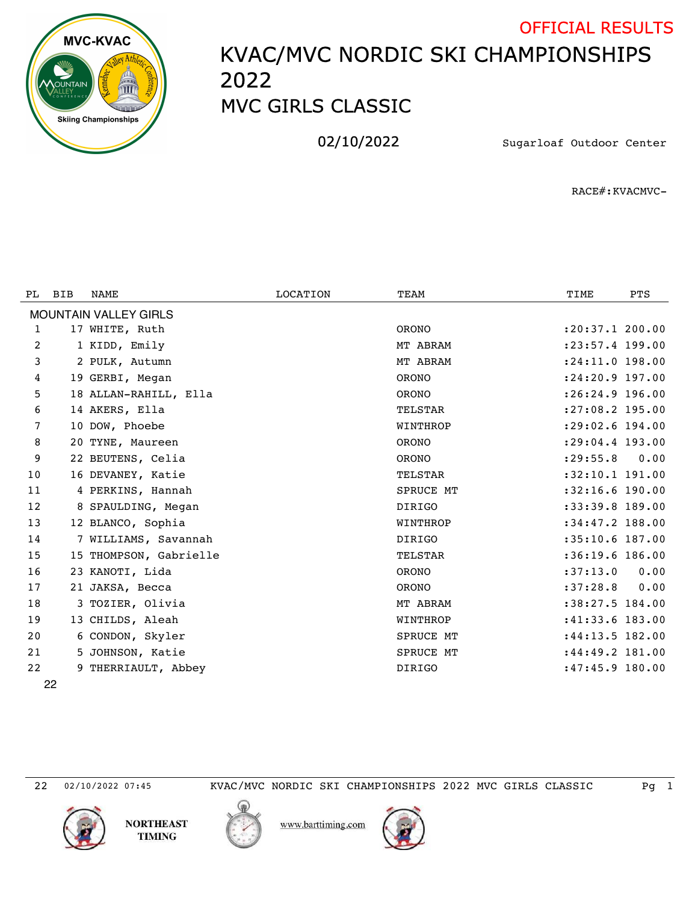

## KVAC/MVC NORDIC SKI CHAMPIONSHIPS MVC GIRLS CLASSIC OFFICIAL RESULTS

02/10/2022 Sugarloaf Outdoor Center

RACE#:KVACMVC-

| PL                           | <b>BIB</b> | NAME                   | LOCATION | TEAM           | TIME                | <b>PTS</b> |  |  |  |  |  |
|------------------------------|------------|------------------------|----------|----------------|---------------------|------------|--|--|--|--|--|
| <b>MOUNTAIN VALLEY GIRLS</b> |            |                        |          |                |                     |            |  |  |  |  |  |
| 1                            |            | 17 WHITE, Ruth         |          | <b>ORONO</b>   | : 20: 37.1 200.00   |            |  |  |  |  |  |
| 2                            |            | 1 KIDD, Emily          |          | MT ABRAM       | $: 23: 57.4$ 199.00 |            |  |  |  |  |  |
| 3                            |            | 2 PULK, Autumn         |          | MT ABRAM       | :24:11.0 198.00     |            |  |  |  |  |  |
| 4                            |            | 19 GERBI, Megan        |          | <b>ORONO</b>   | $: 24:20.9$ 197.00  |            |  |  |  |  |  |
| 5                            |            | 18 ALLAN-RAHILL, Ella  |          | <b>ORONO</b>   | :26:24.9 196.00     |            |  |  |  |  |  |
| 6                            |            | 14 AKERS, Ella         |          | <b>TELSTAR</b> | :27:08.2 195.00     |            |  |  |  |  |  |
| 7                            |            | 10 DOW, Phoebe         |          | WINTHROP       | $: 29:02.6$ 194.00  |            |  |  |  |  |  |
| 8                            |            | 20 TYNE, Maureen       |          | <b>ORONO</b>   | $: 29:04.4$ 193.00  |            |  |  |  |  |  |
| 9                            |            | 22 BEUTENS, Celia      |          | <b>ORONO</b>   | : 29: 55.8          | 0.00       |  |  |  |  |  |
| 10                           |            | 16 DEVANEY, Katie      |          | <b>TELSTAR</b> | $:32:10.1$ 191.00   |            |  |  |  |  |  |
| 11                           |            | 4 PERKINS, Hannah      |          | SPRUCE MT      | :32:16.6 190.00     |            |  |  |  |  |  |
| 12                           |            | 8 SPAULDING, Megan     |          | <b>DIRIGO</b>  | $:33:39.8$ 189.00   |            |  |  |  |  |  |
| 13                           |            | 12 BLANCO, Sophia      |          | WINTHROP       | $:34:47.2$ 188.00   |            |  |  |  |  |  |
| 14                           |            | 7 WILLIAMS, Savannah   |          | <b>DIRIGO</b>  | $:35:10.6$ 187.00   |            |  |  |  |  |  |
| 15                           |            | 15 THOMPSON, Gabrielle |          | <b>TELSTAR</b> | $:36:19.6$ 186.00   |            |  |  |  |  |  |
| 16                           |            | 23 KANOTI, Lida        |          | <b>ORONO</b>   | :37:13.0            | 0.00       |  |  |  |  |  |
| 17                           |            | 21 JAKSA, Becca        |          | <b>ORONO</b>   | :37:28.8            | 0.00       |  |  |  |  |  |
| 18                           |            | 3 TOZIER, Olivia       |          | MT ABRAM       | :38:27.5 184.00     |            |  |  |  |  |  |
| 19                           |            | 13 CHILDS, Aleah       |          | WINTHROP       | $:41:33.6$ 183.00   |            |  |  |  |  |  |
| 20                           |            | 6 CONDON, Skyler       |          | SPRUCE MT      | $:44:13.5$ 182.00   |            |  |  |  |  |  |
| 21                           |            | 5 JOHNSON, Katie       |          | SPRUCE MT      | : 44: 49.2 181.00   |            |  |  |  |  |  |
| 22                           |            | 9 THERRIAULT, Abbey    |          | <b>DIRIGO</b>  | $:47:45.9$ 180.00   |            |  |  |  |  |  |
|                              | ממ         |                        |          |                |                     |            |  |  |  |  |  |

02/10/2022 07:45 KVAC/MVC NORDIC SKI CHAMPIONSHIPS 2022 MVC GIRLS CLASSIC Pg 1





www.barttiming.com